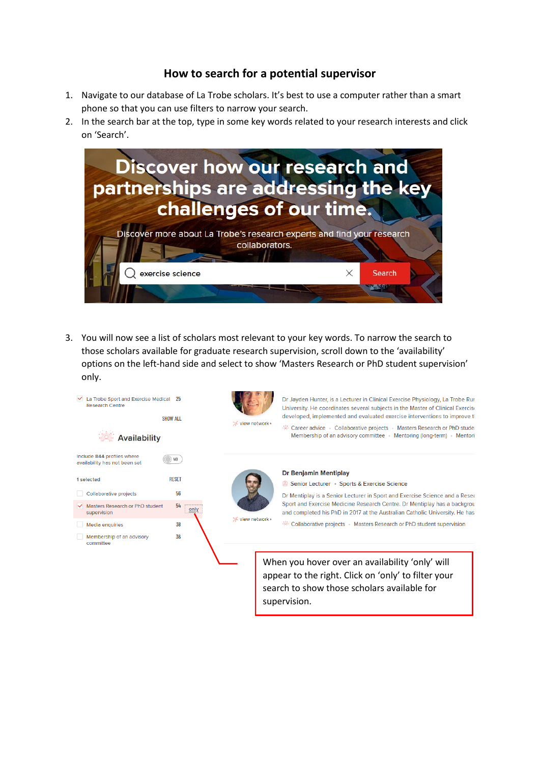## **How to search for a potential supervisor**

- 1. Navigate to our database of La Trobe scholars. It's best to use a computer rather than a smart phone so that you can use filters to narrow your search.
- 2. In the search bar at the top, type in some key words related to your research interests and click on 'Search'.



3. You will now see a list of scholars most relevant to your key words. To narrow the search to those scholars available for graduate research supervision, scroll down to the 'availability' options on the left-hand side and select to show 'Masters Research or PhD student supervision' only.

| La Trobe Sport and Exercise Medical<br><b>Research Centre</b> | -25<br><b>SHOW ALL</b> |                  | Dr Jayden Hunter, is a Lecturer in Clinical Exercise Physiology, La Trobe Rur<br>University. He coordinates several subjects in the Master of Clinical Exercise<br>developed, implemented and evaluated exercise interventions to improve th |
|---------------------------------------------------------------|------------------------|------------------|----------------------------------------------------------------------------------------------------------------------------------------------------------------------------------------------------------------------------------------------|
| <b>Availability</b>                                           |                        | * view network > | External Collaborative projects • Masters Research or PhD studer<br>Membership of an advisory committee • Mentoring (long-term) • Mentori                                                                                                    |
| Include 844 profiles where<br>availability has not been set   | $\bigcirc$ NO          |                  |                                                                                                                                                                                                                                              |
| 1 selected                                                    | <b>RESET</b>           |                  | <b>Dr Benjamin Mentiplay</b>                                                                                                                                                                                                                 |
|                                                               |                        |                  | Senior Lecturer • Sports & Exercise Science                                                                                                                                                                                                  |
| Collaborative projects                                        | 56                     |                  | Dr Mentiplay is a Senior Lecturer in Sport and Exercise Science and a Resea                                                                                                                                                                  |
| Masters Research or PhD student<br>supervision                | 54<br>only             |                  | Sport and Exercise Medicine Research Centre. Dr Mentiplay has a backgrou<br>and completed his PhD in 2017 at the Australian Catholic University. He has                                                                                      |
| Media enquiries                                               | 38                     | * view network > | <sup>26</sup> Collaborative projects • Masters Research or PhD student supervision                                                                                                                                                           |
| Membership of an advisory<br>committee                        | 36                     |                  | When you hover over an availability 'only' will<br>appear to the right. Click on 'only' to filter your<br>search to show those scholars available for                                                                                        |

supervision.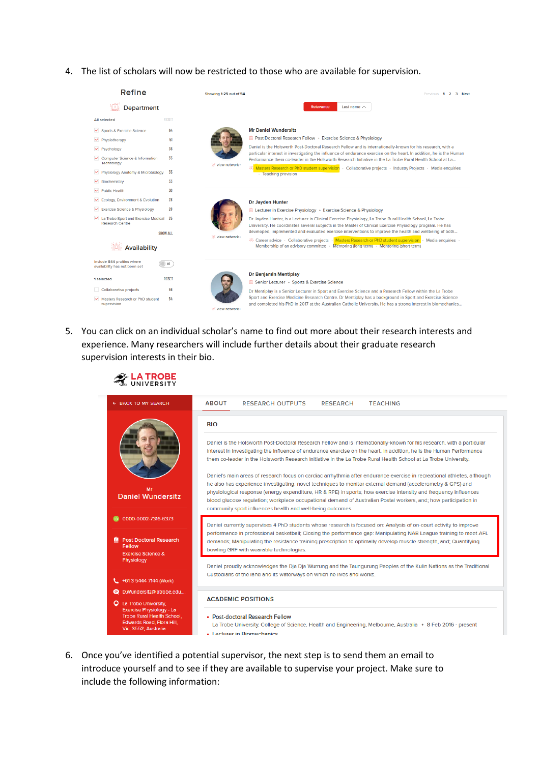4. The list of scholars will now be restricted to those who are available for supervision.



5. You can click on an individual scholar's name to find out more about their research interests and experience. Many researchers will include further details about their graduate research supervision interests in their bio.

**LA TROBE** 

| ← BACK TO MY SEARCH                                                                                                              | <b>ABOUT</b><br><b>RESEARCH OUTPUTS</b><br><b>RESEARCH</b><br><b>TEACHING</b>                                                                                                                                                                                                                                                                                                                                                                                                                                                               |  |  |  |
|----------------------------------------------------------------------------------------------------------------------------------|---------------------------------------------------------------------------------------------------------------------------------------------------------------------------------------------------------------------------------------------------------------------------------------------------------------------------------------------------------------------------------------------------------------------------------------------------------------------------------------------------------------------------------------------|--|--|--|
|                                                                                                                                  | <b>BIO</b>                                                                                                                                                                                                                                                                                                                                                                                                                                                                                                                                  |  |  |  |
|                                                                                                                                  | Daniel is the Holsworth Post-Doctoral Research Fellow and is internationally-known for his research, with a particular<br>interest in investigating the influence of endurance exercise on the heart. In addition, he is the Human Performance<br>them co-leader in the Holsworth Research Initiative in the La Trobe Rural Health School at La Trobe University.                                                                                                                                                                           |  |  |  |
| Mr<br><b>Daniel Wundersitz</b>                                                                                                   | Daniel's main areas of research focus on cardiac arrhythmia after endurance exercise in recreational athletes, although<br>he also has experience investigating: novel techniques to monitor external demand (accelerometry & GPS) and<br>physiological response (energy expenditure, HR & RPE) in sports; how exercise intensity and frequency influences<br>blood glucose regulation; workplace occupational demand of Australian Postal workers, and; how participation in<br>community sport influences health and well-being outcomes. |  |  |  |
| 0000-0002-7316-6373                                                                                                              | Daniel currently supervises 4 PhD students whose research is focused on: Analysis of on-court activity to improve                                                                                                                                                                                                                                                                                                                                                                                                                           |  |  |  |
| <b>Post Doctoral Research</b><br>风<br>Fellow<br><b>Exercise Science &amp;</b>                                                    | performance in professional basketball; Closing the performance gap: Manipulating NAB League training to meet AFL<br>demands; Manipulating the resistance training prescription to optimally develop muscle strength, and; Quantifying<br>bowling GRF with wearable technologies.                                                                                                                                                                                                                                                           |  |  |  |
| Physiology<br>$1.461354447144$ (Work)                                                                                            | Daniel proudly acknowledges the Dja Dja Wurrung and the Taungurung Peoples of the Kulin Nations as the Traditional<br>Custodians of the land and its waterways on which he lives and works.                                                                                                                                                                                                                                                                                                                                                 |  |  |  |
| <b>O</b> D.Wundersitz@latrobe.edu                                                                                                |                                                                                                                                                                                                                                                                                                                                                                                                                                                                                                                                             |  |  |  |
| Q La Trobe University,                                                                                                           | <b>ACADEMIC POSITIONS</b>                                                                                                                                                                                                                                                                                                                                                                                                                                                                                                                   |  |  |  |
| <b>Exercise Physiology - La</b><br><b>Trobe Rural Health School,</b><br><b>Edwards Road, Flora Hill,</b><br>Vic. 3552, Australia | • Post-doctoral Research Fellow<br>La Trobe University, College of Science, Health and Engineering, Melbourne, Australia • 8 Feb 2016 - present                                                                                                                                                                                                                                                                                                                                                                                             |  |  |  |

6. Once you've identified a potential supervisor, the next step is to send them an email to introduce yourself and to see if they are available to supervise your project. Make sure to include the following information: